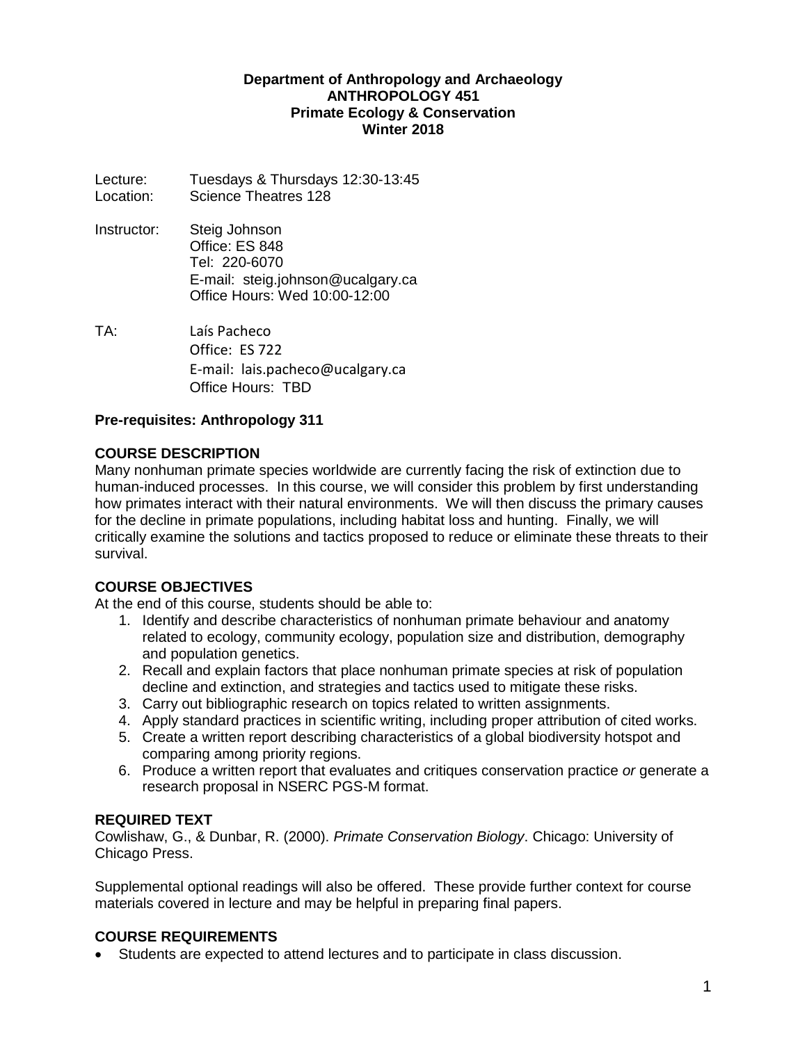#### **Department of Anthropology and Archaeology ANTHROPOLOGY 451 Primate Ecology & Conservation Winter 2018**

Lecture: Tuesdays & Thursdays 12:30-13:45 Location: Science Theatres 128

- Instructor: Steig Johnson Office: ES 848 Tel: 220-6070 E-mail: steig.johnson@ucalgary.ca Office Hours: Wed 10:00-12:00
- TA: Laís Pacheco Office: ES 722 E-mail: lais.pacheco@ucalgary.ca Office Hours: TBD

### **Pre-requisites: Anthropology 311**

#### **COURSE DESCRIPTION**

Many nonhuman primate species worldwide are currently facing the risk of extinction due to human-induced processes. In this course, we will consider this problem by first understanding how primates interact with their natural environments. We will then discuss the primary causes for the decline in primate populations, including habitat loss and hunting. Finally, we will critically examine the solutions and tactics proposed to reduce or eliminate these threats to their survival.

### **COURSE OBJECTIVES**

At the end of this course, students should be able to:

- 1. Identify and describe characteristics of nonhuman primate behaviour and anatomy related to ecology, community ecology, population size and distribution, demography and population genetics.
- 2. Recall and explain factors that place nonhuman primate species at risk of population decline and extinction, and strategies and tactics used to mitigate these risks.
- 3. Carry out bibliographic research on topics related to written assignments.
- 4. Apply standard practices in scientific writing, including proper attribution of cited works.
- 5. Create a written report describing characteristics of a global biodiversity hotspot and comparing among priority regions.
- 6. Produce a written report that evaluates and critiques conservation practice *or* generate a research proposal in NSERC PGS-M format.

#### **REQUIRED TEXT**

Cowlishaw, G., & Dunbar, R. (2000). *Primate Conservation Biology*. Chicago: University of Chicago Press.

Supplemental optional readings will also be offered. These provide further context for course materials covered in lecture and may be helpful in preparing final papers.

#### **COURSE REQUIREMENTS**

• Students are expected to attend lectures and to participate in class discussion.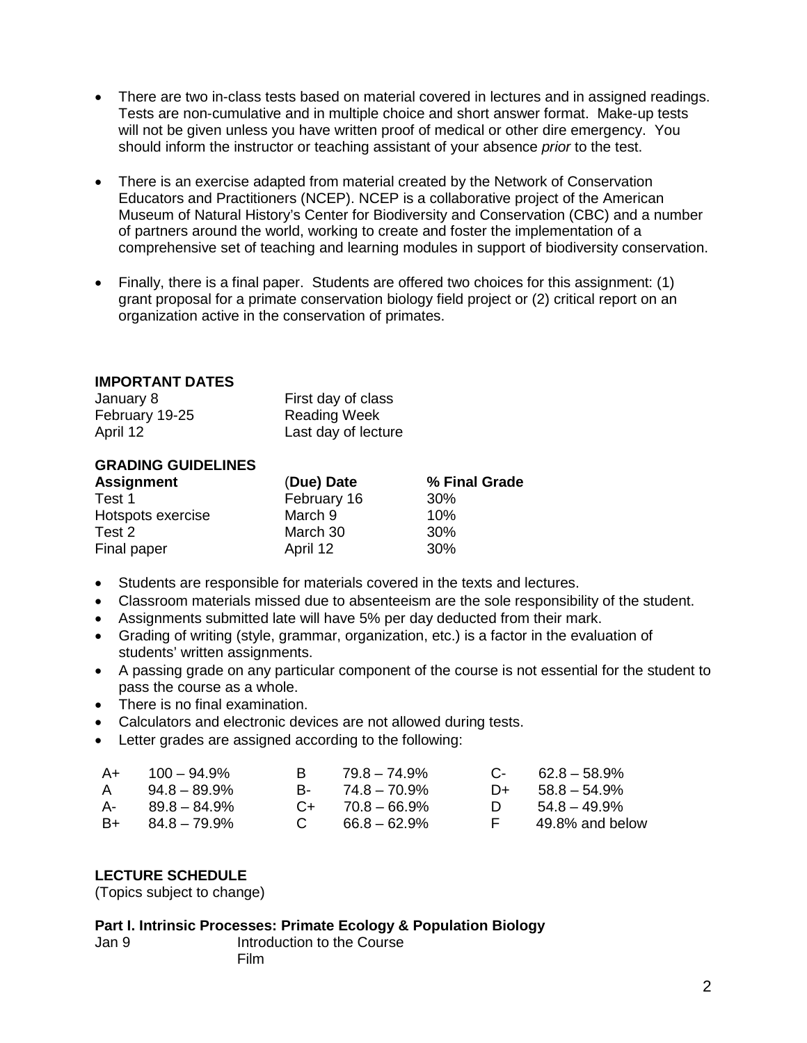- There are two in-class tests based on material covered in lectures and in assigned readings. Tests are non-cumulative and in multiple choice and short answer format. Make-up tests will not be given unless you have written proof of medical or other dire emergency. You should inform the instructor or teaching assistant of your absence *prior* to the test.
- There is an exercise adapted from material created by the Network of Conservation Educators and Practitioners (NCEP). NCEP is a collaborative project of the American Museum of Natural History's Center for Biodiversity and Conservation (CBC) and a number of partners around the world, working to create and foster the implementation of a comprehensive set of teaching and learning modules in support of biodiversity conservation.
- Finally, there is a final paper. Students are offered two choices for this assignment: (1) grant proposal for a primate conservation biology field project or (2) critical report on an organization active in the conservation of primates.

#### **IMPORTANT DATES**

| January 8      | First day of class  |
|----------------|---------------------|
| February 19-25 | Reading Week        |
| April 12       | Last day of lecture |

### **GRADING GUIDELINES**

|             | % Final Grade |
|-------------|---------------|
| February 16 | 30%           |
| March 9     | 10%           |
| March 30    | 30%           |
| April 12    | 30%           |
|             | (Due) Date    |

- Students are responsible for materials covered in the texts and lectures.
- Classroom materials missed due to absenteeism are the sole responsibility of the student.
- Assignments submitted late will have 5% per day deducted from their mark.
- Grading of writing (style, grammar, organization, etc.) is a factor in the evaluation of students' written assignments.
- A passing grade on any particular component of the course is not essential for the student to pass the course as a whole.
- There is no final examination.
- Calculators and electronic devices are not allowed during tests.
- Letter grades are assigned according to the following:

| A+<br>A | $100 - 94.9\%$<br>$94.8 - 89.9\%$ | R.           | 79.8 – 74.9%<br>$B - 74.8 - 70.9\%$ |    | $C - 62.8 - 58.9\%$<br>$D+ 58.8 - 54.9%$ |
|---------|-----------------------------------|--------------|-------------------------------------|----|------------------------------------------|
| А-      | $89.8 - 84.9\%$                   |              | $C_{+}$ 70.8 - 66.9%                | D. | $54.8 - 49.9\%$                          |
| B+      | $84.8 - 79.9\%$                   | $\mathbf{C}$ | $66.8 - 62.9\%$                     | E. | 49.8% and below                          |

#### **LECTURE SCHEDULE**

(Topics subject to change)

#### **Part I. Intrinsic Processes: Primate Ecology & Population Biology**

| Jan 9 |      | Introduction to the Course |  |
|-------|------|----------------------------|--|
|       | Film |                            |  |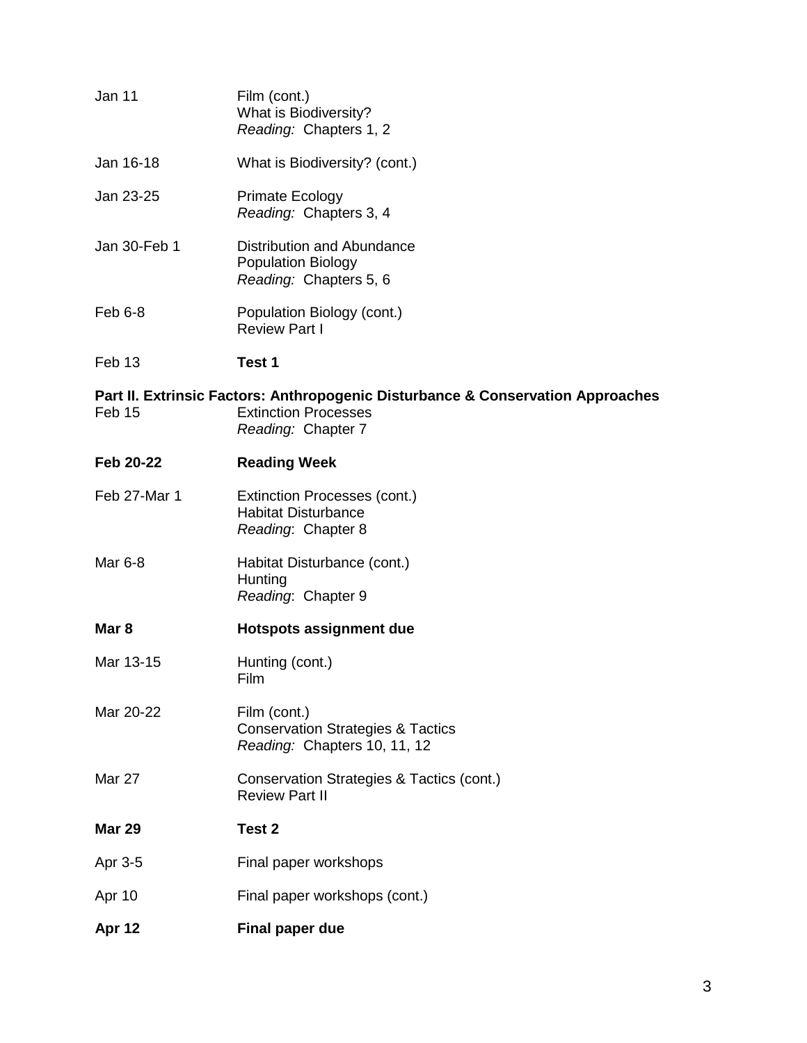| Jan 11        | Film (cont.)<br>What is Biodiversity?<br>Reading: Chapters 1, 2                                                                      |
|---------------|--------------------------------------------------------------------------------------------------------------------------------------|
| Jan 16-18     | What is Biodiversity? (cont.)                                                                                                        |
| Jan 23-25     | <b>Primate Ecology</b><br>Reading: Chapters 3, 4                                                                                     |
| Jan 30-Feb 1  | Distribution and Abundance<br><b>Population Biology</b><br>Reading: Chapters 5, 6                                                    |
| Feb 6-8       | Population Biology (cont.)<br><b>Review Part I</b>                                                                                   |
| Feb 13        | Test 1                                                                                                                               |
| Feb 15        | Part II. Extrinsic Factors: Anthropogenic Disturbance & Conservation Approaches<br><b>Extinction Processes</b><br>Reading: Chapter 7 |
| Feb 20-22     | <b>Reading Week</b>                                                                                                                  |
| Feb 27-Mar 1  | Extinction Processes (cont.)<br><b>Habitat Disturbance</b><br>Reading: Chapter 8                                                     |
| Mar 6-8       | Habitat Disturbance (cont.)<br>Hunting<br>Reading: Chapter 9                                                                         |
| Mar 8         | <b>Hotspots assignment due</b>                                                                                                       |
| Mar 13-15     | Hunting (cont.)<br>Film                                                                                                              |
| Mar 20-22     | Film (cont.)<br><b>Conservation Strategies &amp; Tactics</b><br>Reading: Chapters 10, 11, 12                                         |
| Mar 27        | Conservation Strategies & Tactics (cont.)<br><b>Review Part II</b>                                                                   |
| <b>Mar 29</b> | Test 2                                                                                                                               |
| Apr 3-5       | Final paper workshops                                                                                                                |
| Apr 10        | Final paper workshops (cont.)                                                                                                        |
| Apr 12        | <b>Final paper due</b>                                                                                                               |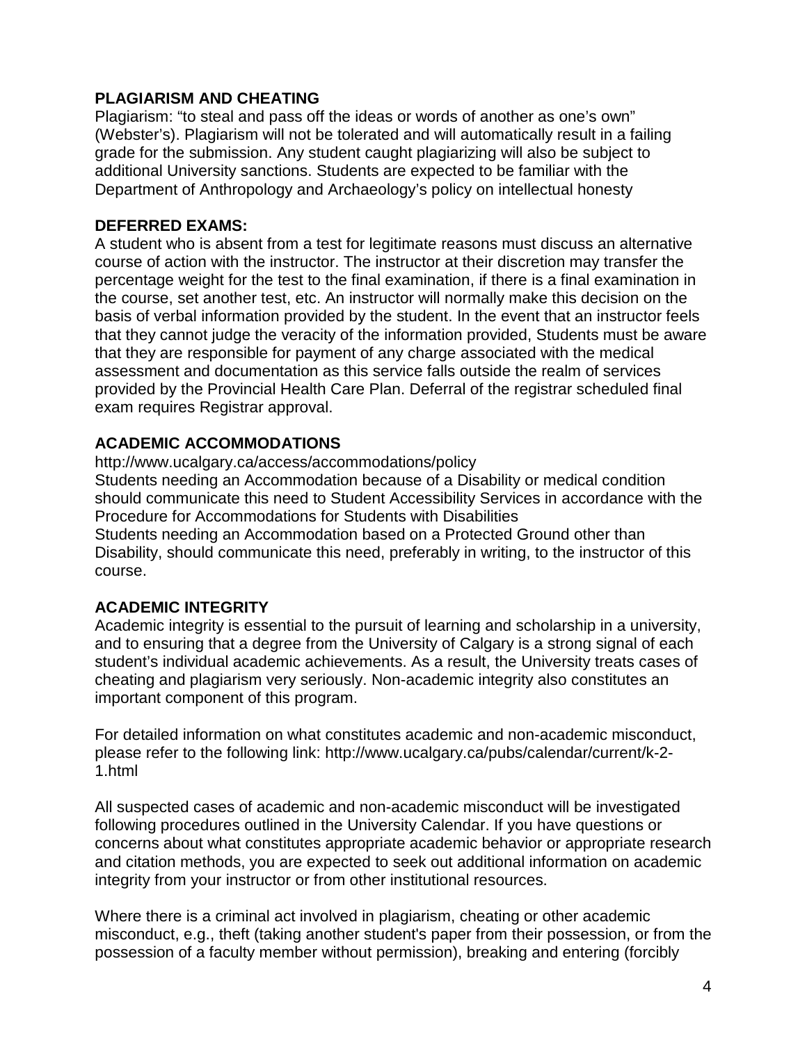## **PLAGIARISM AND CHEATING**

Plagiarism: "to steal and pass off the ideas or words of another as one's own" (Webster's). Plagiarism will not be tolerated and will automatically result in a failing grade for the submission. Any student caught plagiarizing will also be subject to additional University sanctions. Students are expected to be familiar with the Department of Anthropology and Archaeology's policy on intellectual honesty

### **DEFERRED EXAMS:**

A student who is absent from a test for legitimate reasons must discuss an alternative course of action with the instructor. The instructor at their discretion may transfer the percentage weight for the test to the final examination, if there is a final examination in the course, set another test, etc. An instructor will normally make this decision on the basis of verbal information provided by the student. In the event that an instructor feels that they cannot judge the veracity of the information provided, Students must be aware that they are responsible for payment of any charge associated with the medical assessment and documentation as this service falls outside the realm of services provided by the Provincial Health Care Plan. Deferral of the registrar scheduled final exam requires Registrar approval.

### **ACADEMIC ACCOMMODATIONS**

http://www.ucalgary.ca/access/accommodations/policy Students needing an Accommodation because of a Disability or medical condition should communicate this need to Student Accessibility Services in accordance with the Procedure for Accommodations for Students with Disabilities Students needing an Accommodation based on a Protected Ground other than Disability, should communicate this need, preferably in writing, to the instructor of this course.

## **ACADEMIC INTEGRITY**

Academic integrity is essential to the pursuit of learning and scholarship in a university, and to ensuring that a degree from the University of Calgary is a strong signal of each student's individual academic achievements. As a result, the University treats cases of cheating and plagiarism very seriously. Non-academic integrity also constitutes an important component of this program.

For detailed information on what constitutes academic and non-academic misconduct, please refer to the following link: http://www.ucalgary.ca/pubs/calendar/current/k-2- 1.html

All suspected cases of academic and non-academic misconduct will be investigated following procedures outlined in the University Calendar. If you have questions or concerns about what constitutes appropriate academic behavior or appropriate research and citation methods, you are expected to seek out additional information on academic integrity from your instructor or from other institutional resources.

Where there is a criminal act involved in plagiarism, cheating or other academic misconduct, e.g., theft (taking another student's paper from their possession, or from the possession of a faculty member without permission), breaking and entering (forcibly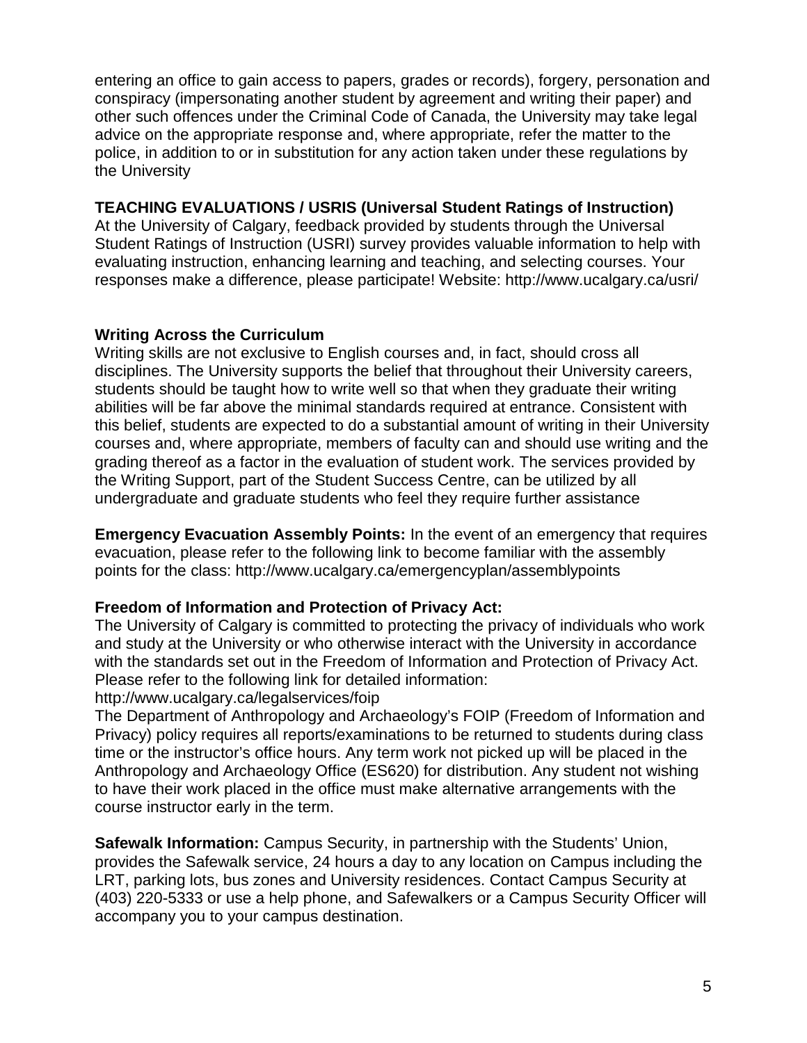entering an office to gain access to papers, grades or records), forgery, personation and conspiracy (impersonating another student by agreement and writing their paper) and other such offences under the Criminal Code of Canada, the University may take legal advice on the appropriate response and, where appropriate, refer the matter to the police, in addition to or in substitution for any action taken under these regulations by the University

## **TEACHING EVALUATIONS / USRIS (Universal Student Ratings of Instruction)**

At the University of Calgary, feedback provided by students through the Universal Student Ratings of Instruction (USRI) survey provides valuable information to help with evaluating instruction, enhancing learning and teaching, and selecting courses. Your responses make a difference, please participate! Website: http://www.ucalgary.ca/usri/

## **Writing Across the Curriculum**

Writing skills are not exclusive to English courses and, in fact, should cross all disciplines. The University supports the belief that throughout their University careers, students should be taught how to write well so that when they graduate their writing abilities will be far above the minimal standards required at entrance. Consistent with this belief, students are expected to do a substantial amount of writing in their University courses and, where appropriate, members of faculty can and should use writing and the grading thereof as a factor in the evaluation of student work. The services provided by the Writing Support, part of the Student Success Centre, can be utilized by all undergraduate and graduate students who feel they require further assistance

**Emergency Evacuation Assembly Points:** In the event of an emergency that requires evacuation, please refer to the following link to become familiar with the assembly points for the class: http://www.ucalgary.ca/emergencyplan/assemblypoints

# **Freedom of Information and Protection of Privacy Act:**

The University of Calgary is committed to protecting the privacy of individuals who work and study at the University or who otherwise interact with the University in accordance with the standards set out in the Freedom of Information and Protection of Privacy Act. Please refer to the following link for detailed information:

## http://www.ucalgary.ca/legalservices/foip

The Department of Anthropology and Archaeology's FOIP (Freedom of Information and Privacy) policy requires all reports/examinations to be returned to students during class time or the instructor's office hours. Any term work not picked up will be placed in the Anthropology and Archaeology Office (ES620) for distribution. Any student not wishing to have their work placed in the office must make alternative arrangements with the course instructor early in the term.

**Safewalk Information:** Campus Security, in partnership with the Students' Union, provides the Safewalk service, 24 hours a day to any location on Campus including the LRT, parking lots, bus zones and University residences. Contact Campus Security at (403) 220-5333 or use a help phone, and Safewalkers or a Campus Security Officer will accompany you to your campus destination.